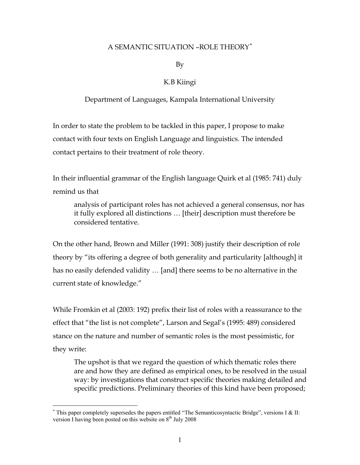## A SEMANTIC SITUATION –ROLE THEORY[∗](#page-0-0)

By

## K.B Kiingi

#### Department of Languages, Kampala International University

In order to state the problem to be tackled in this paper, I propose to make contact with four texts on English Language and linguistics. The intended contact pertains to their treatment of role theory.

In their influential grammar of the English language Quirk et al (1985: 741) duly remind us that

analysis of participant roles has not achieved a general consensus, nor has it fully explored all distinctions … [their] description must therefore be considered tentative.

On the other hand, Brown and Miller (1991: 308) justify their description of role theory by "its offering a degree of both generality and particularity [although] it has no easily defended validity … [and] there seems to be no alternative in the current state of knowledge."

While Fromkin et al (2003: 192) prefix their list of roles with a reassurance to the effect that "the list is not complete", Larson and Segal's (1995: 489) considered stance on the nature and number of semantic roles is the most pessimistic, for they write:

The upshot is that we regard the question of which thematic roles there are and how they are defined as empirical ones, to be resolved in the usual way: by investigations that construct specific theories making detailed and specific predictions. Preliminary theories of this kind have been proposed;

 $\overline{a}$ 

<span id="page-0-0"></span><sup>∗</sup> This paper completely supersedes the papers entitled "The Semanticosyntactic Bridge", versions I & II: version I having been posted on this website on  $8<sup>th</sup>$  July 2008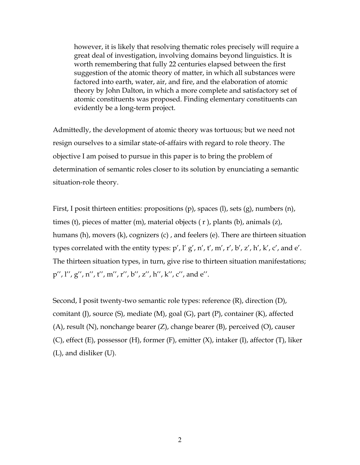however, it is likely that resolving thematic roles precisely will require a great deal of investigation, involving domains beyond linguistics. It is worth remembering that fully 22 centuries elapsed between the first suggestion of the atomic theory of matter, in which all substances were factored into earth, water, air, and fire, and the elaboration of atomic theory by John Dalton, in which a more complete and satisfactory set of atomic constituents was proposed. Finding elementary constituents can evidently be a long-term project.

Admittedly, the development of atomic theory was tortuous; but we need not resign ourselves to a similar state-of-affairs with regard to role theory. The objective I am poised to pursue in this paper is to bring the problem of determination of semantic roles closer to its solution by enunciating a semantic situation-role theory.

First, I posit thirteen entities: propositions (p), spaces (l), sets (g), numbers (n), times (t), pieces of matter (m), material objects ( r ), plants (b), animals (z), humans (h), movers (k), cognizers (c) , and feelers (e). There are thirteen situation types correlated with the entity types:  $p'$ ,  $l' g'$ ,  $n'$ ,  $t'$ ,  $m'$ ,  $r'$ ,  $b'$ ,  $z'$ ,  $h'$ ,  $k'$ ,  $c'$ , and  $e'$ . The thirteen situation types, in turn, give rise to thirteen situation manifestations; p'', l'', g'', n'', t'', m'', r'', b'', z'', h'', k'', c'', and e''.

Second, I posit twenty-two semantic role types: reference (R), direction (D), comitant (J), source  $(S)$ , mediate  $(M)$ , goal  $(G)$ , part  $(P)$ , container  $(K)$ , affected (A), result (N), nonchange bearer (Z), change bearer (B), perceived (O), causer (C), effect (E), possessor (H), former (F), emitter (X), intaker (I), affector (T), liker (L), and disliker (U).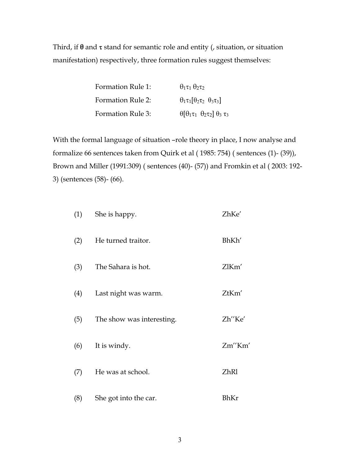Third, if **θ** and τ stand for semantic role and entity (, situation, or situation manifestation) respectively, three formation rules suggest themselves:

| Formation Rule 1:        | $\theta_1\tau_1\theta_2\tau_2$                                   |
|--------------------------|------------------------------------------------------------------|
| <b>Formation Rule 2:</b> | $\theta_1 \tau_1 [\theta_2 \tau_2 \ \theta_3 \tau_3]$            |
| Formation Rule 3:        | $\theta$ [ $\theta_1 \tau_1 \theta_2 \tau_2$ ] $\theta_3 \tau_3$ |

With the formal language of situation –role theory in place, I now analyse and formalize 66 sentences taken from Quirk et al ( 1985: 754) ( sentences (1)- (39)), Brown and Miller (1991:309) ( sentences (40)- (57)) and Fromkin et al ( 2003: 192- 3) (sentences (58)- (66).

| (1) | She is happy.             | ZhKe'  |
|-----|---------------------------|--------|
| (2) | He turned traitor.        | BhKh'  |
| (3) | The Sahara is hot.        | ZlKm'  |
| (4) | Last night was warm.      | ZtKm'  |
| (5) | The show was interesting. | Zh"Ke' |
| (6) | It is windy.              | Zm"Km' |
| (7) | He was at school.         | ZhR1   |
| (8) | She got into the car.     | BhKr   |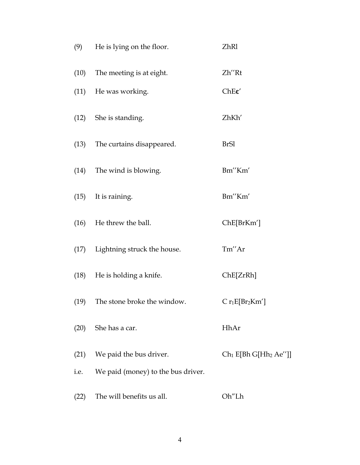| (9)  | He is lying on the floor.               | ZhR1                      |  |
|------|-----------------------------------------|---------------------------|--|
| (10) | The meeting is at eight.                | Zh"Rt                     |  |
|      | (11) He was working.                    | Che'                      |  |
|      | (12) She is standing.                   | ZhKh'                     |  |
|      | (13) The curtains disappeared.          | <b>BrSl</b>               |  |
|      | (14) The wind is blowing.               | Bm"Km'                    |  |
| (15) | It is raining.                          | Bm"Km'                    |  |
|      | (16) He threw the ball.                 | ChE[BrKm']                |  |
|      | (17) Lightning struck the house.        | Tm"Ar                     |  |
|      | (18) He is holding a knife.             | ChE[ZrRh]                 |  |
| (19) | The stone broke the window.             | $C r_1 E[Br_2Km']$        |  |
|      | (20) She has a car.                     | HhAr                      |  |
| (21) | We paid the bus driver.                 | $Ch_1 E[Bh G[Hh_2 Ae'']]$ |  |
|      | i.e. We paid (money) to the bus driver. |                           |  |
| (22) | The will benefits us all.               | Oh"Lh                     |  |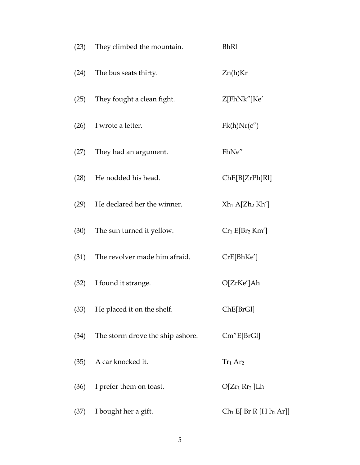| (23) | They climbed the mountain.         | <b>BhR1</b>                     |  |
|------|------------------------------------|---------------------------------|--|
|      | (24) The bus seats thirty.         | Zn(h)Kr                         |  |
|      | (25) They fought a clean fight.    | Z[FhNk"]Ke'                     |  |
|      | $(26)$ I wrote a letter.           | Fk(h)Nr(c'')                    |  |
|      | (27) They had an argument.         | FhNe"                           |  |
| (28) | He nodded his head.                | ChE[B[ZrPh]R1]                  |  |
| (29) | He declared her the winner.        | $Xh_1 A[Zh_2 Kh']$              |  |
| (30) | The sun turned it yellow.          | $Cr_1 E[Br_2 Km']$              |  |
|      | (31) The revolver made him afraid. | CrE[ BhKe']                     |  |
| (32) | I found it strange.                | O[ZrKe']Ah                      |  |
| (33) | He placed it on the shelf.         | ChE[BrGl]                       |  |
| (34) | The storm drove the ship ashore.   | Cm''E[BrGl]                     |  |
| (35) | A car knocked it.                  | Tr <sub>1</sub> Ar <sub>2</sub> |  |
| (36) | I prefer them on toast.            | $O[Zr_1 Rr_2]Lh$                |  |
| (37) | I bought her a gift.               | $Ch_1 E[Br R [H h_2 Ar]]$       |  |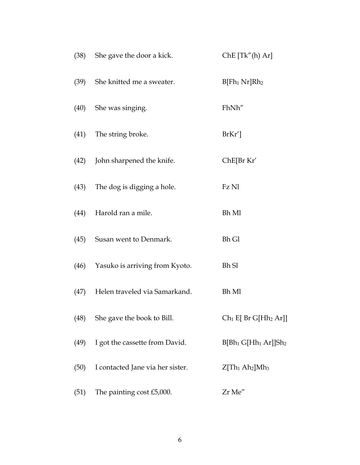|      | (38) She gave the door a kick.      | Che [Tk''(h) Ar]                                   |
|------|-------------------------------------|----------------------------------------------------|
|      | (39) She knitted me a sweater.      | $B$ [Fh <sub>1</sub> Nr]Rh <sub>2</sub>            |
|      | (40) She was singing.               | FhNh"                                              |
|      | (41) The string broke.              | $BrKr'$ ]                                          |
|      | (42) John sharpened the knife.      | ChE[Br Kr'                                         |
|      | (43) The dog is digging a hole.     | Fz Nl                                              |
| (44) | Harold ran a mile.                  | <b>Bh</b> Ml                                       |
|      | (45) Susan went to Denmark.         | <b>Bh Gl</b>                                       |
|      | (46) Yasuko is arriving from Kyoto. | <b>Bh Sl</b>                                       |
| (47) | Helen traveled via Samarkand.       | Bh Ml                                              |
| (48) | She gave the book to Bill.          | $Ch_1 E[Br G[Hh_2 Ar]]$                            |
| (49) | I got the cassette from David.      | $B[Bh_1 G[Hh_1 Ar]]Sh_2$                           |
| (50) | I contacted Jane via her sister.    | Z[Th <sub>1</sub> Ah <sub>2</sub> ]Mh <sub>3</sub> |
| (51) | The painting cost £5,000.           | Zr Me"                                             |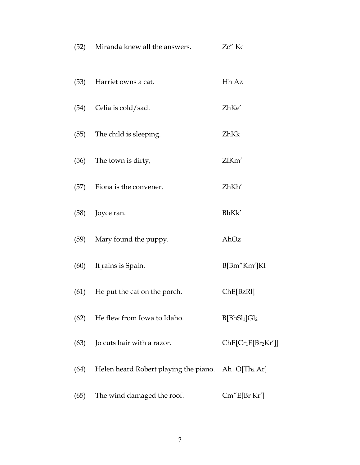|      | (52) Miranda knew all the answers.                                          | Zc" Kc                               |
|------|-----------------------------------------------------------------------------|--------------------------------------|
|      | (53) Harriet owns a cat.                                                    | Hh Az                                |
| (54) | Celia is cold/sad.                                                          | ZhKe'                                |
|      | (55) The child is sleeping.                                                 | ZhKk                                 |
|      | (56) The town is dirty,                                                     | ZlKm'                                |
| (57) | Fiona is the convener.                                                      | ZhKh'                                |
| (58) | Joyce ran.                                                                  | BhKk'                                |
| (59) | Mary found the puppy.                                                       | AhOz                                 |
|      | (60) It rains is Spain.                                                     | B[Bm"Km']Kl                          |
| (61) | He put the cat on the porch.                                                | $ChE[{\rm BzR1}]$                    |
| (62) | He flew from Iowa to Idaho.                                                 | B[BhSl <sub>1</sub> ]Gl <sub>2</sub> |
| (63) | Jo cuts hair with a razor.                                                  | $ChE[Cr_1E[Br_2Kr']]$                |
| (64) | Helen heard Robert playing the piano. Ah <sub>1</sub> O[Th <sub>2</sub> Ar] |                                      |
| (65) | The wind damaged the roof.                                                  | Cm''E[Br Kr']                        |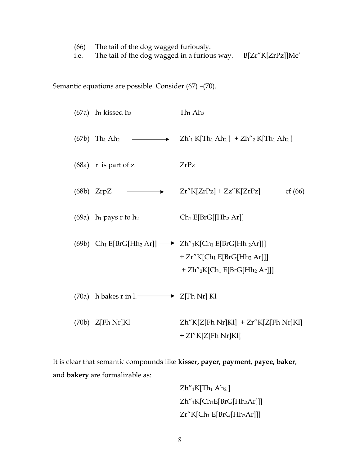|  |                                                                                                                                                                                                                                      | (66) The tail of the dog wagged furiously. |  |
|--|--------------------------------------------------------------------------------------------------------------------------------------------------------------------------------------------------------------------------------------|--------------------------------------------|--|
|  | $\blacksquare$ . The contract of the contract of the contract of the contract of the contract of the contract of the contract of the contract of the contract of the contract of the contract of the contract of the contract of the |                                            |  |

i.e. The tail of the dog wagged in a furious way. B[Zr"K[ZrPz]]Me'

Semantic equations are possible. Consider (67) –(70).

|  | $(67a)$ h <sub>1</sub> kissed h <sub>2</sub>        | Th <sub>1</sub> Ah <sub>2</sub>                                                                                                                                      |
|--|-----------------------------------------------------|----------------------------------------------------------------------------------------------------------------------------------------------------------------------|
|  |                                                     | (67b) Th <sub>1</sub> Ah <sub>2</sub> $\longrightarrow$ Zh' <sub>1</sub> K[Th <sub>1</sub> Ah <sub>2</sub> ] + Zh'' <sub>2</sub> K[Th <sub>1</sub> Ah <sub>2</sub> ] |
|  | $(68a)$ r is part of z                              | ZrPz                                                                                                                                                                 |
|  | $(68b)$ ZrpZ $\longrightarrow$                      | $Zr''K[ZrPz]+Zz''K[ZrPz]$<br>cf(66)                                                                                                                                  |
|  | $(69a)$ h <sub>1</sub> pays r to h <sub>2</sub>     | $Ch_1 E[BrG[[Hh_2 Ar]]$                                                                                                                                              |
|  |                                                     | (69b) $Ch_1 E[BrG[Hh_2 Ar]] \longrightarrow Zh''_1 K[Ch_1 E[BrG[Hh_2 Ar]]]$<br>$+ Zr''K[Ch_1 E[BrG[Hh_2 Ar]]]$<br>$+ Zh''_2K[Ch_1E[BrG[Hh_2 Ar]]]$                   |
|  | (70a) h bakes r in l. $\longrightarrow$ Z[Fh Nr] Kl |                                                                                                                                                                      |
|  | $(70b)$ Z[Fh Nr]Kl                                  | $Zh''K[Z[ Fh Nr]Kl] + Zr''K[Z[ Fh Nr]Kl]$<br>+ Zl"K[Z[Fh Nr]Kl]                                                                                                      |

It is clear that semantic compounds like **kisser, payer, payment, payee, baker**, and **bakery** are formalizable as:

> $Zh''$ <sub>1</sub>K[Th<sub>1</sub> Ah<sub>2</sub>]  $Zh''$ <sub>1</sub>K[Ch<sub>1</sub>E[BrG[Hh<sub>2</sub>Ar]]]  $Zr''K[Ch_1 E[BrG[Hh_2Ar]]]$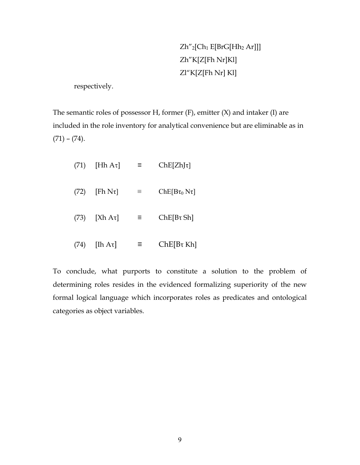# Zh"2[Ch1 E[BrG[Hh2 Ar]]] Zh"K[Z[Fh Nr]Kl] Zl"K[Z[Fh Nr] Kl]

respectively.

The semantic roles of possessor H, former (F), emitter (X) and intaker (I) are included in the role inventory for analytical convenience but are eliminable as in  $(71) - (74)$ .

| (71) | [Hh $A\tau$ ]  | Ξ        | $ChE[Zh]\tau$        |
|------|----------------|----------|----------------------|
| (72) | [Fh $N\tau$ ]  | $\equiv$ | $ChE[B\tau_0 N\tau]$ |
|      | $(73)$ [Xh At] | Ξ.       | $ChE[B\tau Sh]$      |
| (74) | [Ih Aτ]        | Ξ        | $ChE[B\tau Kh]$      |

To conclude, what purports to constitute a solution to the problem of determining roles resides in the evidenced formalizing superiority of the new formal logical language which incorporates roles as predicates and ontological categories as object variables.